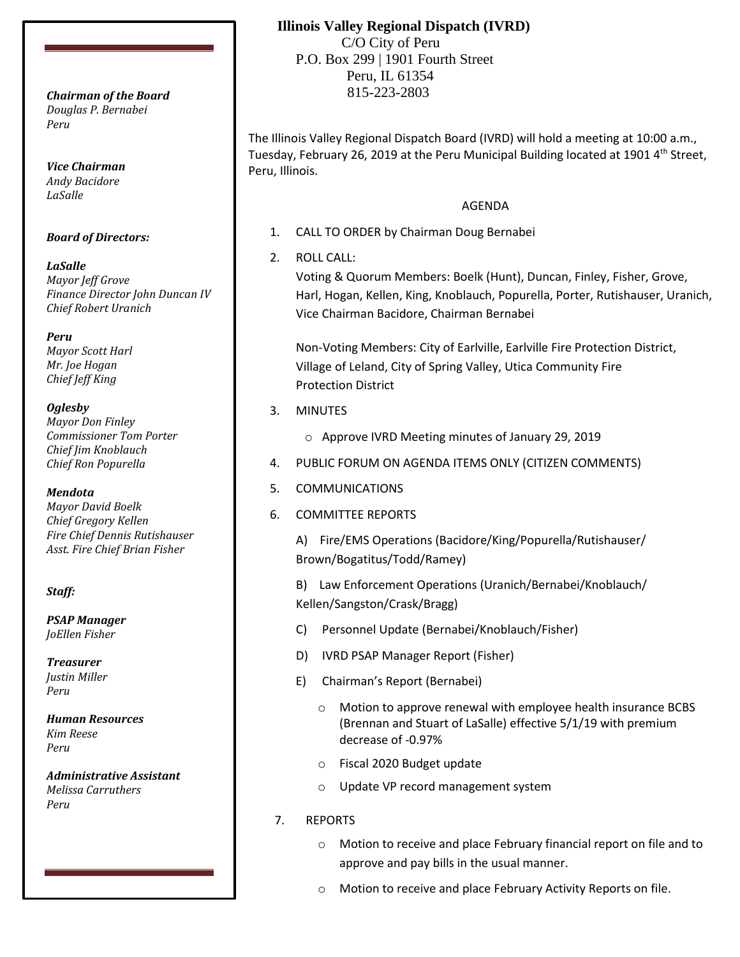*Douglas P. Bernabei Peru*

*Vice Chairman Andy Bacidore LaSalle*

## *Board of Directors:*

*LaSalle Mayor Jeff Grove Finance Director John Duncan IV Chief Robert Uranich*

*Peru Mayor Scott Harl Mr. Joe Hogan Chief Jeff King*

#### *Oglesby*

*Mayor Don Finley Commissioner Tom Porter Chief Jim Knoblauch Chief Ron Popurella*

#### *Mendota*

*Mayor David Boelk Chief Gregory Kellen Fire Chief Dennis Rutishauser Asst. Fire Chief Brian Fisher*

#### *Staff:*

*PSAP Manager JoEllen Fisher*

*Treasurer Justin Miller Peru*

*Human Resources Kim Reese Peru*

*Administrative Assistant Melissa Carruthers Peru*

# **Illinois Valley Regional Dispatch (IVRD)**

 C/O City of Peru P.O. Box 299 | 1901 Fourth Street Peru, IL 61354 815-223-2803 *Chairman of the Board*

> The Illinois Valley Regional Dispatch Board (IVRD) will hold a meeting at 10:00 a.m., Tuesday, February 26, 2019 at the Peru Municipal Building located at 1901 4th Street, Peru, Illinois.

### AGENDA

- 1. CALL TO ORDER by Chairman Doug Bernabei
- 2. ROLL CALL:

Voting & Quorum Members: Boelk (Hunt), Duncan, Finley, Fisher, Grove, Harl, Hogan, Kellen, King, Knoblauch, Popurella, Porter, Rutishauser, Uranich, Vice Chairman Bacidore, Chairman Bernabei

Non-Voting Members: City of Earlville, Earlville Fire Protection District, Village of Leland, City of Spring Valley, Utica Community Fire Protection District

- 3. MINUTES
	- o Approve IVRD Meeting minutes of January 29, 2019
- 4. PUBLIC FORUM ON AGENDA ITEMS ONLY (CITIZEN COMMENTS)
- 5. COMMUNICATIONS
- 6. COMMITTEE REPORTS

A) Fire/EMS Operations (Bacidore/King/Popurella/Rutishauser/ Brown/Bogatitus/Todd/Ramey)

B) Law Enforcement Operations (Uranich/Bernabei/Knoblauch/ Kellen/Sangston/Crask/Bragg)

- C) Personnel Update (Bernabei/Knoblauch/Fisher)
- D) IVRD PSAP Manager Report (Fisher)
- E) Chairman's Report (Bernabei)
	- o Motion to approve renewal with employee health insurance BCBS (Brennan and Stuart of LaSalle) effective 5/1/19 with premium decrease of -0.97%
	- o Fiscal 2020 Budget update
	- o Update VP record management system
- 7. REPORTS
	- o Motion to receive and place February financial report on file and to approve and pay bills in the usual manner.
	- o Motion to receive and place February Activity Reports on file.